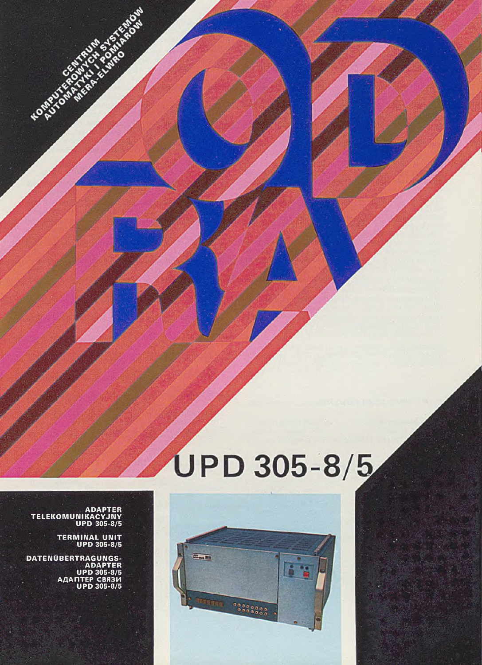# UPD 305-8/5



**ADAPTER TE LE KO M U N IK A C Y JN Y UPD 305-8/5**

**KOMPUTOR** 

**TERMINAL UNIT UPD 305-8/5**

**DATENUBERTRAGUNGS-ADAPTER UPD 305-8/5 AAAriTEP CB83M UPD 305-8/5**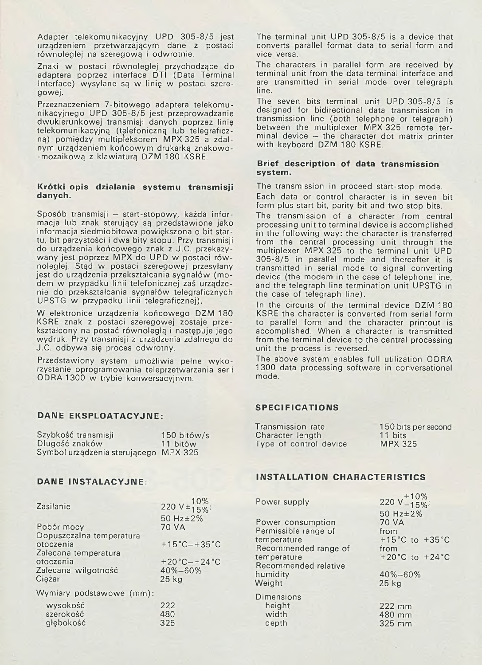Adapter telekomunikacyjny UPD 305-8/5 jest urządzeniem przetwarzającym dane z postaci równoległej na szeregową i odwrotnie.

Znaki w postaci równoległej przychodzące do adaptera poprzez interface DTI (Data Terminal Interface) wysyłane są w linię w postaci szeregowej.

Przeznaczeniem 7-bitowego adaptera telekomunikacyjnego UPD 305-8/5 jest przeprowadzanie dwukierunkowej transmisji danych poprzez linię telekomunikacyjną (telefoniczną lub telegraficzną) pomiędzy multipleksorem MPX 325 a zdalnym urządzeniem końcowym drukarką znakowo--mozaikową z klawiaturą DZM 180 KSRE.

# **Krótki opis działania systemu transmisji danych.**

Sposób transmisji – start-stopowy, każda informacja lub znak sterujący są przedstawione jako informacja siedm iobitowa powiększona o bit startu, bit parzystości i dwa bity stopu. Przy transmisji do urządzenia końcowego znak z J.C. przekazywany jest poprzez MPX do UPD w postaci równoległej. Stąd w postaci szeregowej przesyłany jest do urządzenia przekształcania sygnałów (modem w przypadku linii telefonicznej zaś urządzenie do przekształcania sygnałów telegraficznych UPSTG w przypadku linii telegraficznej).

W elektronice urządzenia końcowego DZM 180 KSRE znak z postaci szeregowej zostaje przekształcony na postać równoległą i następuje jego wydruk. Przy transmisji z urządzenia zdalnego do J.C. odbywa się proces odwrotny.

Przedstawiony system umożliwia pełne wykorzystanie oprogram owania teleprzetwarzania serii ODRA 1300 w trybie konwersacyjnym.

# **DANE EKSPLOATACYJNE:**

| Szybkość transmisji                   | $150$ bitów/s |
|---------------------------------------|---------------|
| Długość znaków                        | 11 bitów      |
| Symbol urządzenia sterującego MPX 325 |               |

The terminal unit UPD 305-8/5 is a device that converts parallel format data to serial form and vice versa.

The characters in parallel form are received by terminal unit from the data terminal interface and are transmitted in serial mode over telegraph line.

The seven bits terminal unit UPD 305-8/5 is designed for bidirectional data transmission in transmission line (both telephone or telegraph) between the multiplexer MPX 325 remote terminal device  $-$  the character dot matrix printer with keyboard DZM 180 KSRE.

# **Brief description of data transmission system.**

The transmission in proceed start-stop mode. Each data or control character is in seven bit form plus start bit, parity bit and two stop bits.

The transmission of a character from central processing unit to terminal device is accomplished in the following way: the character is transferred from the central processing unit through the multiplexer MPX 325 to the terminal unit UPD 305-8/5 in parallel mode and thereafter it is transmitted in serial mode to signal converting device (the modem in the case of telephone line, and the telegraph line termination unit UPSTG in the case of telegraph line).

In the circuits of the terminal device DZM 180 KSRE the character is converted from serial form to parallel form and the character printout is accom plished. When a character is transmitted from the terminal device to the central processing unit the process is reversed.

The above system enables full utilization ODRA 1300 data processing software in conversational mode.

# **SPECIFICATIONS**

| Transmission rate      | 150 bits per second |
|------------------------|---------------------|
| Character length       | 11 bits             |
| Type of control device | <b>MPX 325</b>      |

| Zasilanie                                                          | 220 $V \pm \frac{10\%}{15\%}$          |
|--------------------------------------------------------------------|----------------------------------------|
| Pobór mocy                                                         | 50 Hz ± 2%<br>70 VA                    |
| Dopuszczalna temperatura                                           |                                        |
| otoczenia                                                          | $+15^{\circ}$ C $-+35^{\circ}$ C       |
| Zalecana temperatura<br>otoczenia<br>Zalecana wilgotność<br>Ciężar | $+20$ °C $-+24$ °C<br>40%-60%<br>25 kg |
| Wymiary podstawowe (mm):                                           |                                        |
| wysokość<br>szerokość<br>głębokość                                 | 222<br>480<br>325                      |

# **DANE INSTALACYJNE: INSTALLATION CHARACTERISTICS**

| Power supply                              | 220 $V_{-15\%}^{+10\%}$              |
|-------------------------------------------|--------------------------------------|
| Power consumption<br>Permissible range of | 50 Hz ± 2%<br><b>70 VA</b><br>from   |
| temperature                               | +15 $^{\circ}$ C to +35 $^{\circ}$ C |
| Recommended range of                      | from                                 |
| temperature                               | +20 °C to +24 °C                     |
| Recommended relative                      |                                      |
| humidity                                  | $40\% - 60\%$                        |
| Weight                                    | $25$ kg                              |
| <b>Dimensions</b>                         |                                      |
| height                                    | 222 mm                               |
| width                                     | 480 mm                               |
| depth                                     | 325 mm                               |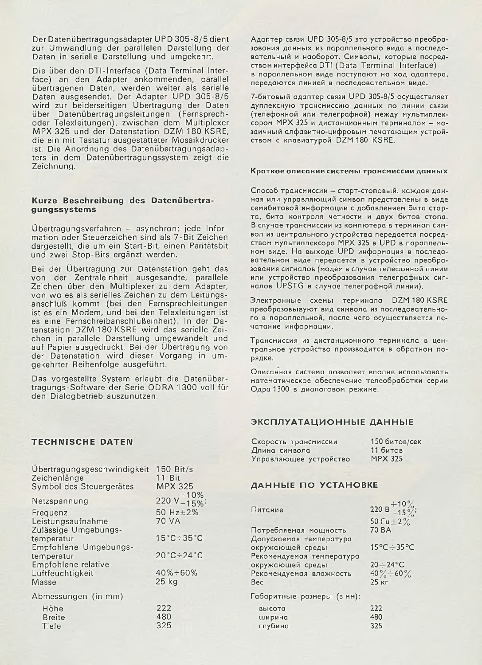Der Datenübertragungsadapter U PD 305-8/5 dient zur Umwandlung der parallelen Darstellung der Daten in serielle Darstellung und umgekehrt.

Die über den DTI-Interface (Data Terminal Interface) an den Adapter ankommenden, parallel übertragenen Daten, werden weiter als serielle Daten ausgesendet. Der Adapter UPD 305-8/5 wird zur beiderseitigen Übertragung der Daten über Datenübertragungsleitungen (Fernsprechoder Telexleitungen), zwischen dem Multiplexer MPX 325 und der Datenstation DZM 180 KSRE, die ein mit Tastatur ausgestatteter Mosaikdrucker ist. Die Anordnung des Datenübertragungsadapters in dem Datenübertragungssystem zeigt die Zeichnung.

# **Kurze Beschreibung des Datenübertragungssystems**

Übertragungsverfahren — asynchron; jede Information oder Steuerzeichen sind als 7- Bit Zeichen dargestellt, die um ein Start-Bit, einen Paritätsbit und zwei Stop-Bits ergänzt werden.

Bei der Übertragung zur Datenstation geht das von der Zentraleinheit ausgesandte, parallele Zeichen über den Multiplexer zu dem Adapter, von wo es als serielles Zeichen zu dem Leitungsanschluß kommt (bei den Fernsprechleitungen ist es ein Modem, und bei den Telexleitungen ist es eine Fernschreibanschlußeinheit). In der Datenstation DZM 180 KSRE wird das serielle Zeichen in parallele Darstellung umgewandelt und auf Papier ausgedruckt. Bei der Übertragung von der Datenstation wird dieser Vorgang in um gekehrter Reihenfolge ausgeführt.

Das vorgestellte System erlaubt die Datenübertragungs-Software der Serie ODRA 1300 voll für den Dialogbetrieb auszunutzen.

Адаптер связи UPD 305-8/5 это устройство преобразования данных из параллельного вида в последовательный и наоборот. Символы, которые посредством интерфейса DTI (Data Terminal Interface) в параллельном виде поступают на ход адаптера, передаются линией в последовательном виде.

7-битовый адаптер связи UPD 305-8/5 осуществляет дуплексную трансмиссию данных по линии связи .<br>(телефонной или телеграфной) между мультиплексором MPX 325 и дистанционным терминалом - мозаичный алфавитно-цифровым печатающим устройством с клавиатурой DZM 180 KSRE.

## Краткое описание системы трансмиссии данных

Способ трансмиссии - старт-стоповый, каждая данная или управляющий символ представлены в виде семибитовой информации с добавлением бита старта, бита контроля четности и двух битов стопа. В случае трансмиссии из компютера в терминал символ из центрального устройства передается посредством мультиплексора MPX 325 в UPD в параллельном виде. На выходе UPD информация в последовательном виде передается в устройство преобразования сигналов (модем в случае телефонной линии или устройство преобразования телеграфных сигналов UPSTG в случае телеграфной линии).

Электронные схемы терминала DZM 180 KSRE преобразовывуют вид символа из последовательного в параллельной, после чего осуществляется пе-**HOTOHMe MHCjjOpMaUMM.**

Трансмиссия из дистанционного терминала в центральное устройство производится в обратном порядке.

Описанная система позволяет вполне использовать **MaTeMaTMHecKoe oöecneneHMe Teneo6pa6oTKM ce p n m** Одра 1300 в диалоговом режиме.

# **ЭКСПЛУАТАЦИОННЫЕ ДАННЫЕ**

| Скорость трансмиссии   | 150 битов/сек  |
|------------------------|----------------|
| Длина символа          | 11 битов       |
| Управляющее устройство | <b>MPX 325</b> |

## **ДАННЫЕ ПО УСТАНОВКЕ**

| Питание                    | 220 B $+10\%$<br>-15%  |
|----------------------------|------------------------|
|                            | 50 $\Gamma$ u + 2 $\%$ |
| Потребляемая мощность      | 70 BA                  |
| Допускаемая температура    |                        |
| окружающей среды           | 15°C÷35°C              |
| Рекомендуемая температура  |                        |
| окружающей среды           | $20 \div 24^{\circ}$ C |
| Рекомендуемая влажность    | 40% $\div$ 60%         |
| Bec                        | 25 кг                  |
| Габаритные размеры (в мм): |                        |
| высота                     | 222                    |
| ширина                     | 480                    |
| глубина                    | 325                    |
|                            |                        |

# **TECHNISCHE DATEN**

| Ubertragungsgeschwindigkeit | $150$ Bit/s                      |
|-----------------------------|----------------------------------|
| Zeichenlänge                | 11 Bit                           |
| Symbol des Steuergerätes    | <b>MPX 325</b>                   |
| Netzspannung                | 220 $V_{-15\%}^{+10\%}$          |
| Frequenz                    | 50 Hz ± 2%                       |
| Leistungsaufnahme           | <b>70 VA</b>                     |
| Zulässige Umgebungs-        |                                  |
| temperatur                  | $15^{\circ}$ C ÷ 35 $^{\circ}$ C |
| Empfohlene Umgebungs-       |                                  |
| temperatur                  | $20^{\circ}$ C ÷ 24 $^{\circ}$ C |
| Empfohlene relative         |                                  |
| Luftfeuchtigkeit            | $40\% \div 60\%$                 |
| Masse                       | 25 kg                            |
|                             |                                  |
| Abmessungen (in mm)         |                                  |
| Höhe                        | 222                              |
| <b>Breite</b>               | 480                              |
| Tiefe                       | 325                              |
|                             |                                  |